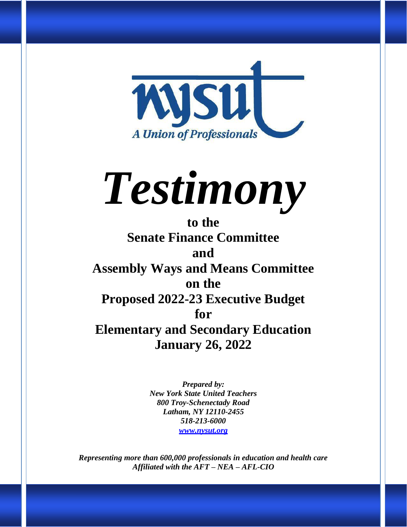

# *Testimony*

**to the Senate Finance Committee and Assembly Ways and Means Committee on the Proposed 2022-23 Executive Budget for Elementary and Secondary Education January 26, 2022**

> *Prepared by: New York State United Teachers 800 Troy-Schenectady Road Latham, NY 12110-2455 518-213-6000 [www.nysut.org](http://www.nysut.org/)*

*Representing more than 600,000 professionals in education and health care Affiliated with the AFT – NEA – AFL-CIO*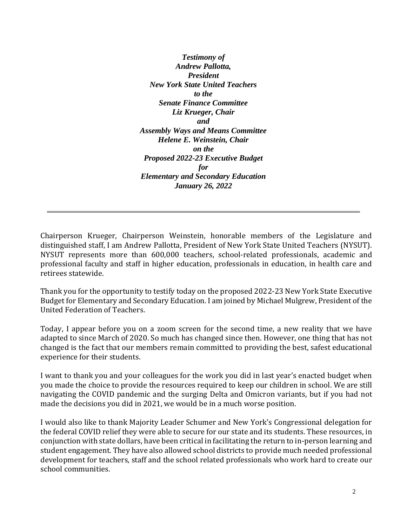*Testimony of Andrew Pallotta, President New York State United Teachers to the Senate Finance Committee Liz Krueger, Chair and Assembly Ways and Means Committee Helene E. Weinstein, Chair on the Proposed 2022-23 Executive Budget for Elementary and Secondary Education January 26, 2022*

Chairperson Krueger, Chairperson Weinstein, honorable members of the Legislature and distinguished staff, I am Andrew Pallotta, President of New York State United Teachers (NYSUT). NYSUT represents more than 600,000 teachers, school-related professionals, academic and professional faculty and staff in higher education, professionals in education, in health care and retirees statewide.

Thank you for the opportunity to testify today on the proposed 2022-23 New York State Executive Budget for Elementary and Secondary Education. I am joined by Michael Mulgrew, President of the United Federation of Teachers.

Today, I appear before you on a zoom screen for the second time, a new reality that we have adapted to since March of 2020. So much has changed since then. However, one thing that has not changed is the fact that our members remain committed to providing the best, safest educational experience for their students.

I want to thank you and your colleagues for the work you did in last year's enacted budget when you made the choice to provide the resources required to keep our children in school. We are still navigating the COVID pandemic and the surging Delta and Omicron variants, but if you had not made the decisions you did in 2021, we would be in a much worse position.

I would also like to thank Majority Leader Schumer and New York's Congressional delegation for the federal COVID relief they were able to secure for our state and its students. These resources, in conjunction with state dollars, have been critical in facilitating the return to in-person learning and student engagement. They have also allowed school districts to provide much needed professional development for teachers, staff and the school related professionals who work hard to create our school communities.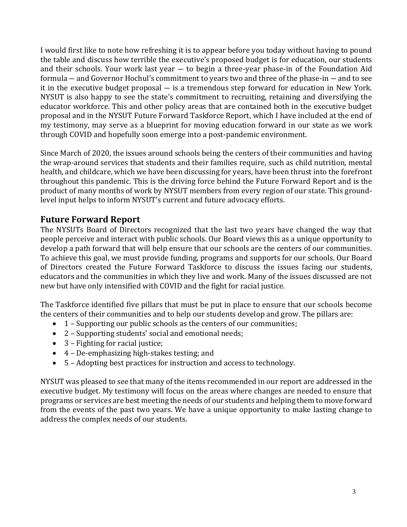I would first like to note how refreshing it is to appear before you today without having to pound the table and discuss how terrible the executive's proposed budget is for education, our students and their schools. Your work last year ― to begin a three-year phase-in of the Foundation Aid formula ― and Governor Hochul's commitment to years two and three of the phase-in ― and to see it in the executive budget proposal ― is a tremendous step forward for education in New York. NYSUT is also happy to see the state's commitment to recruiting, retaining and diversifying the educator workforce. This and other policy areas that are contained both in the executive budget proposal and in the NYSUT Future Forward Taskforce Report, which I have included at the end of my testimony, may serve as a blueprint for moving education forward in our state as we work through COVID and hopefully soon emerge into a post-pandemic environment.

Since March of 2020, the issues around schools being the centers of their communities and having the wrap-around services that students and their families require, such as child nutrition, mental health, and childcare, which we have been discussing for years, have been thrust into the forefront throughout this pandemic. This is the driving force behind the Future Forward Report and is the product of many months of work by NYSUT members from every region of our state. This groundlevel input helps to inform NYSUT's current and future advocacy efforts.

## **Future Forward Report**

The NYSUTs Board of Directors recognized that the last two years have changed the way that people perceive and interact with public schools. Our Board views this as a unique opportunity to develop a path forward that will help ensure that our schools are the centers of our communities. To achieve this goal, we must provide funding, programs and supports for our schools. Our Board of Directors created the Future Forward Taskforce to discuss the issues facing our students, educators and the communities in which they live and work. Many of the issues discussed are not new but have only intensified with COVID and the fight for racial justice.

The Taskforce identified five pillars that must be put in place to ensure that our schools become the centers of their communities and to help our students develop and grow. The pillars are:

- 1 Supporting our public schools as the centers of our communities;
- 2 Supporting students' social and emotional needs;
- 3 Fighting for racial justice;
- 4 De-emphasizing high-stakes testing; and
- 5 Adopting best practices for instruction and access to technology.

NYSUT was pleased to see that many of the items recommended in our report are addressed in the executive budget. My testimony will focus on the areas where changes are needed to ensure that programs or services are best meeting the needs of our students and helping them to move forward from the events of the past two years. We have a unique opportunity to make lasting change to address the complex needs of our students.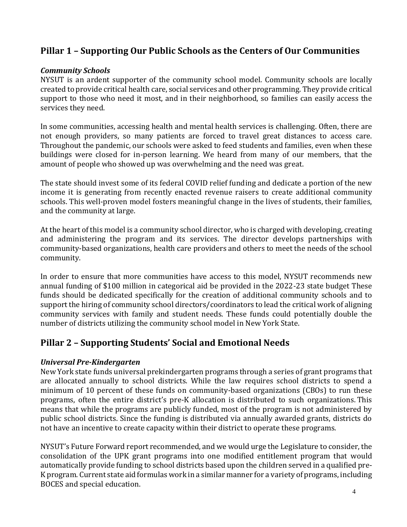# **Pillar 1 – Supporting Our Public Schools as the Centers of Our Communities**

#### *Community Schools*

NYSUT is an ardent supporter of the community school model. Community schools are locally created to provide critical health care, social services and other programming. They provide critical support to those who need it most, and in their neighborhood, so families can easily access the services they need.

In some communities, accessing health and mental health services is challenging. Often, there are not enough providers, so many patients are forced to travel great distances to access care. Throughout the pandemic, our schools were asked to feed students and families, even when these buildings were closed for in-person learning. We heard from many of our members, that the amount of people who showed up was overwhelming and the need was great.

The state should invest some of its federal COVID relief funding and dedicate a portion of the new income it is generating from recently enacted revenue raisers to create additional community schools. This well-proven model fosters meaningful change in the lives of students, their families, and the community at large.

At the heart of this model is a community school director, who is charged with developing, creating and administering the program and its services. The director develops partnerships with community-based organizations, health care providers and others to meet the needs of the school community.

In order to ensure that more communities have access to this model, NYSUT recommends new annual funding of \$100 million in categorical aid be provided in the 2022-23 state budget These funds should be dedicated specifically for the creation of additional community schools and to support the hiring of community school directors/coordinators to lead the critical work of aligning community services with family and student needs. These funds could potentially double the number of districts utilizing the community school model in New York State.

## **Pillar 2 – Supporting Students' Social and Emotional Needs**

#### *Universal Pre-Kindergarten*

New York state funds universal prekindergarten programs through a series of grant programs that are allocated annually to school districts. While the law requires school districts to spend a minimum of 10 percent of these funds on community-based organizations (CBOs) to run these programs, often the entire district's pre-K allocation is distributed to such organizations. This means that while the programs are publicly funded, most of the program is not administered by public school districts. Since the funding is distributed via annually awarded grants, districts do not have an incentive to create capacity within their district to operate these programs.

NYSUT's Future Forward report recommended, and we would urge the Legislature to consider, the consolidation of the UPK grant programs into one modified entitlement program that would automatically provide funding to school districts based upon the children served in a qualified pre-K program. Current state aid formulas work in a similar manner for a variety of programs, including BOCES and special education.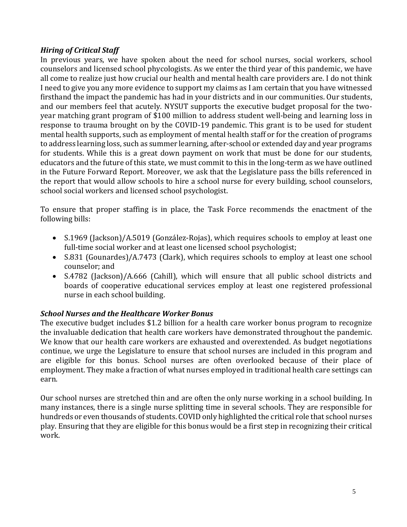#### *Hiring of Critical Staff*

In previous years, we have spoken about the need for school nurses, social workers, school counselors and licensed school phycologists. As we enter the third year of this pandemic, we have all come to realize just how crucial our health and mental health care providers are. I do not think I need to give you any more evidence to support my claims as I am certain that you have witnessed firsthand the impact the pandemic has had in your districts and in our communities. Our students, and our members feel that acutely. NYSUT supports the executive budget proposal for the twoyear matching grant program of \$100 million to address student well-being and learning loss in response to trauma brought on by the COVID-19 pandemic. This grant is to be used for student mental health supports, such as employment of mental health staff or for the creation of programs to address learning loss, such as summer learning, after-school or extended day and year programs for students. While this is a great down payment on work that must be done for our students, educators and the future of this state, we must commit to this in the long-term as we have outlined in the Future Forward Report. Moreover, we ask that the Legislature pass the bills referenced in the report that would allow schools to hire a school nurse for every building, school counselors, school social workers and licensed school psychologist.

To ensure that proper staffing is in place, the Task Force recommends the enactment of the following bills:

- S.1969 (Jackson)/A.5019 (González-Rojas), which requires schools to employ at least one full-time social worker and at least one licensed school psychologist;
- S.831 (Gounardes)/A.7473 (Clark), which requires schools to employ at least one school counselor; and
- S.4782 (Jackson)/A.666 (Cahill), which will ensure that all public school districts and boards of cooperative educational services employ at least one registered professional nurse in each school building.

#### *School Nurses and the Healthcare Worker Bonus*

The executive budget includes \$1.2 billion for a health care worker bonus program to recognize the invaluable dedication that health care workers have demonstrated throughout the pandemic. We know that our health care workers are exhausted and overextended. As budget negotiations continue, we urge the Legislature to ensure that school nurses are included in this program and are eligible for this bonus. School nurses are often overlooked because of their place of employment. They make a fraction of what nurses employed in traditional health care settings can earn.

Our school nurses are stretched thin and are often the only nurse working in a school building. In many instances, there is a single nurse splitting time in several schools. They are responsible for hundreds or even thousands of students. COVID only highlighted the critical role that school nurses play. Ensuring that they are eligible for this bonus would be a first step in recognizing their critical work.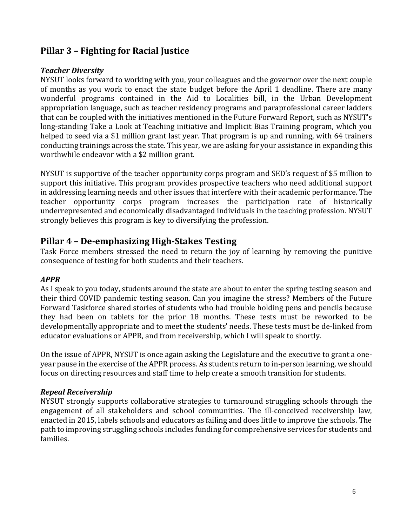# **Pillar 3 – Fighting for Racial Justice**

#### *Teacher Diversity*

NYSUT looks forward to working with you, your colleagues and the governor over the next couple of months as you work to enact the state budget before the April 1 deadline. There are many wonderful programs contained in the Aid to Localities bill, in the Urban Development appropriation language, such as teacher residency programs and paraprofessional career ladders that can be coupled with the initiatives mentioned in the Future Forward Report, such as NYSUT's long-standing Take a Look at Teaching initiative and Implicit Bias Training program, which you helped to seed via a \$1 million grant last year. That program is up and running, with 64 trainers conducting trainings across the state. This year, we are asking for your assistance in expanding this worthwhile endeavor with a \$2 million grant.

NYSUT is supportive of the teacher opportunity corps program and SED's request of \$5 million to support this initiative. This program provides prospective teachers who need additional support in addressing learning needs and other issues that interfere with their academic performance. The teacher opportunity corps program increases the participation rate of historically underrepresented and economically disadvantaged individuals in the teaching profession. NYSUT strongly believes this program is key to diversifying the profession.

## **Pillar 4 – De-emphasizing High-Stakes Testing**

Task Force members stressed the need to return the joy of learning by removing the punitive consequence of testing for both students and their teachers.

#### *APPR*

As I speak to you today, students around the state are about to enter the spring testing season and their third COVID pandemic testing season. Can you imagine the stress? Members of the Future Forward Taskforce shared stories of students who had trouble holding pens and pencils because they had been on tablets for the prior 18 months. These tests must be reworked to be developmentally appropriate and to meet the students' needs. These tests must be de-linked from educator evaluations or APPR, and from receivership, which I will speak to shortly.

On the issue of APPR, NYSUT is once again asking the Legislature and the executive to grant a oneyear pause in the exercise of the APPR process. As students return to in-person learning, we should focus on directing resources and staff time to help create a smooth transition for students.

#### *Repeal Receivership*

NYSUT strongly supports collaborative strategies to turnaround struggling schools through the engagement of all stakeholders and school communities. The ill-conceived receivership law, enacted in 2015, labels schools and educators as failing and does little to improve the schools. The path to improving struggling schools includes funding for comprehensive services for students and families.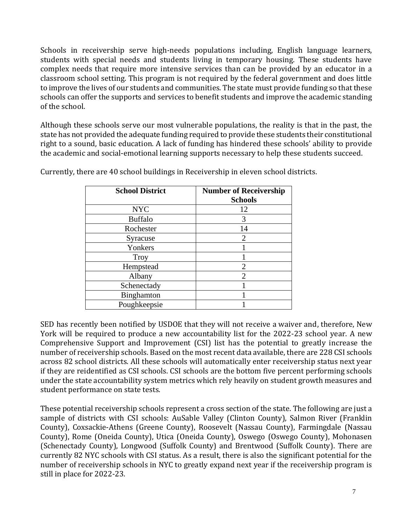Schools in receivership serve high-needs populations including, English language learners, students with special needs and students living in temporary housing. These students have complex needs that require more intensive services than can be provided by an educator in a classroom school setting. This program is not required by the federal government and does little to improve the lives of our students and communities. The state must provide funding so that these schools can offer the supports and services to benefit students and improve the academic standing of the school.

Although these schools serve our most vulnerable populations, the reality is that in the past, the state has not provided the adequate funding required to provide these students their constitutional right to a sound, basic education. A lack of funding has hindered these schools' ability to provide the academic and social-emotional learning supports necessary to help these students succeed.

| <b>School District</b> | <b>Number of Receivership</b><br><b>Schools</b> |
|------------------------|-------------------------------------------------|
| <b>NYC</b>             | 12                                              |
| <b>Buffalo</b>         | 3                                               |
| Rochester              | 14                                              |
| Syracuse               | $\overline{2}$                                  |
| Yonkers                |                                                 |
| <b>Troy</b>            |                                                 |
| Hempstead              | 2                                               |
| Albany                 | $\mathfrak{D}_{1}^{(1)}$                        |
| Schenectady            |                                                 |
| Binghamton             |                                                 |
| Poughkeepsie           |                                                 |

Currently, there are 40 school buildings in Receivership in eleven school districts.

SED has recently been notified by USDOE that they will not receive a waiver and, therefore, New York will be required to produce a new accountability list for the 2022-23 school year. A new Comprehensive Support and Improvement (CSI) list has the potential to greatly increase the number of receivership schools. Based on the most recent data available, there are 228 CSI schools across 82 school districts. All these schools will automatically enter receivership status next year if they are reidentified as CSI schools. CSI schools are the bottom five percent performing schools under the state accountability system metrics which rely heavily on student growth measures and student performance on state tests.

These potential receivership schools represent a cross section of the state. The following are just a sample of districts with CSI schools: AuSable Valley (Clinton County), Salmon River (Franklin County), Coxsackie-Athens (Greene County), Roosevelt (Nassau County), Farmingdale (Nassau County), Rome (Oneida County), Utica (Oneida County), Oswego (Oswego County), Mohonasen (Schenectady County), Longwood (Suffolk County) and Brentwood (Suffolk County). There are currently 82 NYC schools with CSI status. As a result, there is also the significant potential for the number of receivership schools in NYC to greatly expand next year if the receivership program is still in place for 2022-23.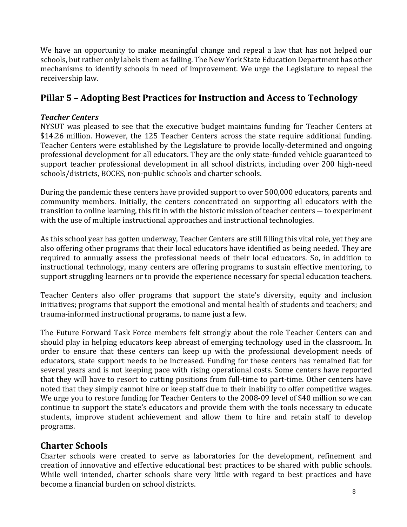We have an opportunity to make meaningful change and repeal a law that has not helped our schools, but rather only labels them as failing. The New York State Education Department has other mechanisms to identify schools in need of improvement. We urge the Legislature to repeal the receivership law.

# **Pillar 5 – Adopting Best Practices for Instruction and Access to Technology**

#### *Teacher Centers*

NYSUT was pleased to see that the executive budget maintains funding for Teacher Centers at \$14.26 million. However, the 125 Teacher Centers across the state require additional funding. Teacher Centers were established by the Legislature to provide locally-determined and ongoing professional development for all educators. They are the only state-funded vehicle guaranteed to support teacher professional development in all school districts, including over 200 high-need schools/districts, BOCES, non-public schools and charter schools.

During the pandemic these centers have provided support to over 500,000 educators, parents and community members. Initially, the centers concentrated on supporting all educators with the transition to online learning, this fit in with the historic mission of teacher centers ― to experiment with the use of multiple instructional approaches and instructional technologies.

As this school year has gotten underway, Teacher Centers are still filling this vital role, yet they are also offering other programs that their local educators have identified as being needed. They are required to annually assess the professional needs of their local educators. So, in addition to instructional technology, many centers are offering programs to sustain effective mentoring, to support struggling learners or to provide the experience necessary for special education teachers.

Teacher Centers also offer programs that support the state's diversity, equity and inclusion initiatives; programs that support the emotional and mental health of students and teachers; and trauma-informed instructional programs, to name just a few.

The Future Forward Task Force members felt strongly about the role Teacher Centers can and should play in helping educators keep abreast of emerging technology used in the classroom. In order to ensure that these centers can keep up with the professional development needs of educators, state support needs to be increased. Funding for these centers has remained flat for several years and is not keeping pace with rising operational costs. Some centers have reported that they will have to resort to cutting positions from full-time to part-time. Other centers have noted that they simply cannot hire or keep staff due to their inability to offer competitive wages. We urge you to restore funding for Teacher Centers to the 2008-09 level of \$40 million so we can continue to support the state's educators and provide them with the tools necessary to educate students, improve student achievement and allow them to hire and retain staff to develop programs.

## **Charter Schools**

Charter schools were created to serve as laboratories for the development, refinement and creation of innovative and effective educational best practices to be shared with public schools. While well intended, charter schools share very little with regard to best practices and have become a financial burden on school districts.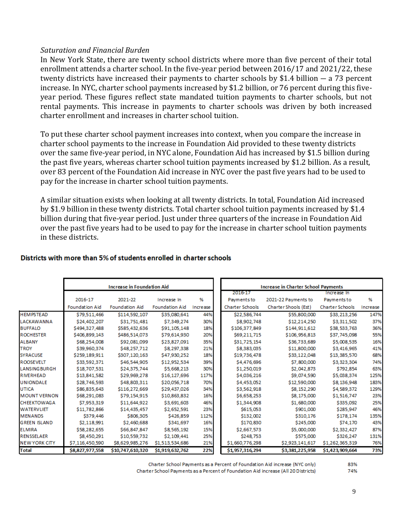#### *Saturation and Financial Burden*

In New York State, there are twenty school districts where more than five percent of their total enrollment attends a charter school. In the five-year period between 2016/17 and 2021/22, these twenty districts have increased their payments to charter schools by \$1.4 billion ― a 73 percent increase. In NYC, charter school payments increased by \$1.2 billion, or 76 percent during this fiveyear period. These figures reflect state mandated tuition payments to charter schools, but not rental payments. This increase in payments to charter schools was driven by both increased charter enrollment and increases in charter school tuition.

To put these charter school payment increases into context, when you compare the increase in charter school payments to the increase in Foundation Aid provided to these twenty districts over the same five-year period, in NYC alone, Foundation Aid has increased by \$1.5 billion during the past five years, whereas charter school tuition payments increased by \$1.2 billion. As a result, over 83 percent of the Foundation Aid increase in NYC over the past five years had to be used to pay for the increase in charter school tuition payments.

A similar situation exists when looking at all twenty districts. In total, Foundation Aid increased by \$1.9 billion in these twenty districts. Total charter school tuition payments increased by \$1.4 billion during that five-year period. Just under three quarters of the increase in Foundation Aid over the past five years had to be used to pay for the increase in charter school tuition payments in these districts.

|                       | <b>Increase in Foundation Aid</b> |                       |                       | <b>Increase in Charter School Payments</b> |                        |                      |                        |          |
|-----------------------|-----------------------------------|-----------------------|-----------------------|--------------------------------------------|------------------------|----------------------|------------------------|----------|
|                       |                                   |                       |                       |                                            | 2016-17                |                      | Increase In            |          |
|                       | 2016-17                           | 2021-22               | Increase In           | %                                          | Payments to            | 2021-22 Payments to  | Payments to            | %        |
|                       | <b>Foundation Aid</b>             | <b>Foundation Aid</b> | <b>Foundation Aid</b> | Increase                                   | <b>Charter Schools</b> | Charter Shools (Est) | <b>Charter Schools</b> | Increase |
| <b>HEMPSTEAD</b>      | \$79,511,466                      | \$114,592,107         | \$35,080,641          | 44%                                        | \$22,586,744           | \$55,800,000         | \$33,213,256           | 147%     |
| LACKAWANNA            | \$24,402,207                      | \$31,751,481          | \$7,349,274           | 30%                                        | \$8,902,748            | \$12,214,250         | \$3,311,502            | 37%      |
| <b>BUFFALO</b>        | \$494,327,488                     | \$585,432,636         | \$91,105,148          | 18%                                        | \$106,377,849          | \$144,911,612        | \$38,533,763           | 36%      |
| <b>ROCHESTER</b>      | \$406,899,143                     | \$486,514,073         | \$79,614,930          | 20%                                        | \$69,211,715           | \$106,956,813        | \$37,745,098           | 55%      |
| <b>ALBANY</b>         | \$68,254,008                      | \$92,081,099          | \$23,827,091          | 35%                                        | \$31,725,154           | \$36,733,689         | \$5,008,535            | 16%      |
| <b>TROY</b>           | \$39,960,374                      | \$48,257,712          | \$8,297,338           | 21%                                        | \$8,383,035            | \$11,800,000         | \$3,416,965            | 41%      |
| <b>SYRACUSE</b>       | \$259,189,911                     | \$307,120,163         | \$47,930,252          | 18%                                        | \$19,736,478           | \$33,122,048         | \$13,385,570           | 68%      |
| <b>ROOSEVELT</b>      | \$33,592,371                      | \$46,544,905          | \$12,952,534          | 39%                                        | \$4,476,696            | \$7,800,000          | \$3,323,304            | 74%      |
| <b>LANSINGBURGH</b>   | \$18,707,531                      | \$24,375,744          | \$5,668,213           | 30%                                        | \$1,250,019            | \$2,042,873          | \$792,854              | 63%      |
| <b>RIVERHEAD</b>      | \$13,841,582                      | \$29,969,278          | \$16,127,696          | 117%                                       | \$4,036,216            | \$9,074,590          | \$5,038,374            | 125%     |
| <b>UNIONDALE</b>      | \$28,746,593                      | \$48,803,311          | \$20,056,718          | 70%                                        | \$4,453,052            | \$12,590,000         | \$8,136,948            | 183%     |
| <b>UTICA</b>          | \$86,835,643                      | \$116,272,669         | \$29,437,026          | 34%                                        | \$3,562,918            | \$8,152,290          | \$4,589,372            | 129%     |
| <b>MOUNT VERNON</b>   | \$68,291,083                      | \$79,154,915          | \$10,863,832          | 16%                                        | \$6,658,253            | \$8,175,000          | \$1,516,747            | 23%      |
| <b>CHEEKTOWAGA</b>    | \$7,953,319                       | \$11,644,922          | \$3,691,603           | 46%                                        | \$1,344,908            | \$1,680,000          | \$335,092              | 25%      |
| <b>WATERVLIET</b>     | \$11,782,866                      | \$14,435,457          | \$2,652,591           | 23%                                        | \$615,053              | \$901,000            | \$285,947              | 46%      |
| <b>MENANDS</b>        | \$379,446                         | \$806,305             | \$426,859             | 112%                                       | \$132,002              | \$310,176            | \$178,174              | 135%     |
| <b>GREEN ISLAND</b>   | \$2,118,991                       | \$2,460,688           | \$341,697             | 16%                                        | \$170,830              | \$245,000            | \$74,170               | 43%      |
| <b>ELMIRA</b>         | \$58,282,655                      | \$66,847,847          | \$8,565,192           | 15%                                        | \$2,667,573            | \$5,000,000          | \$2,332,427            | 87%      |
| <b>RENSSELAER</b>     | \$8,450,291                       | \$10,559,732          | \$2,109,441           | 25%                                        | \$248,753              | \$575,000            | \$326,247              | 131%     |
| <b>INEW YORK CITY</b> | \$7,116,450,590                   | \$8,629,985,276       | \$1,513,534,686       | 21%                                        | \$1,660,776,298        | \$2,923,141,617      | \$1,262,365,319        | 76%      |
| <b>Total</b>          | \$8,827,977,558                   | \$10,747,610,320      | \$1,919,632,762       | 22%                                        | \$1,957,316,294        | \$3,381,225,958      | \$1,423,909,664        | 73%      |

#### Districts with more than 5% of students enrolled in charter schools

Charter School Payments as a Percent of Foundation Aid increase (NYC only)

Charter School Payments as a Percent of Foundation Aid increase (All 20 Districts)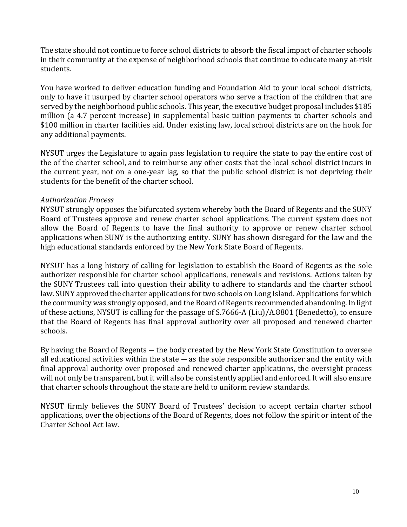The state should not continue to force school districts to absorb the fiscal impact of charter schools in their community at the expense of neighborhood schools that continue to educate many at-risk students.

You have worked to deliver education funding and Foundation Aid to your local school districts, only to have it usurped by charter school operators who serve a fraction of the children that are served by the neighborhood public schools. This year, the executive budget proposal includes \$185 million (a 4.7 percent increase) in supplemental basic tuition payments to charter schools and \$100 million in charter facilities aid. Under existing law, local school districts are on the hook for any additional payments.

NYSUT urges the Legislature to again pass legislation to require the state to pay the entire cost of the of the charter school, and to reimburse any other costs that the local school district incurs in the current year, not on a one-year lag, so that the public school district is not depriving their students for the benefit of the charter school.

#### *Authorization Process*

NYSUT strongly opposes the bifurcated system whereby both the Board of Regents and the SUNY Board of Trustees approve and renew charter school applications. The current system does not allow the Board of Regents to have the final authority to approve or renew charter school applications when SUNY is the authorizing entity. SUNY has shown disregard for the law and the high educational standards enforced by the New York State Board of Regents.

NYSUT has a long history of calling for legislation to establish the Board of Regents as the sole authorizer responsible for charter school applications, renewals and revisions. Actions taken by the SUNY Trustees call into question their ability to adhere to standards and the charter school law. SUNY approved the charter applications for two schools on Long Island. Applications for which the community was strongly opposed, and the Board of Regents recommended abandoning. In light of these actions, NYSUT is calling for the passage of S.7666-A (Liu)/A.8801 (Benedetto), to ensure that the Board of Regents has final approval authority over all proposed and renewed charter schools.

By having the Board of Regents ― the body created by the New York State Constitution to oversee all educational activities within the state  $-$  as the sole responsible authorizer and the entity with final approval authority over proposed and renewed charter applications, the oversight process will not only be transparent, but it will also be consistently applied and enforced. It will also ensure that charter schools throughout the state are held to uniform review standards.

NYSUT firmly believes the SUNY Board of Trustees' decision to accept certain charter school applications, over the objections of the Board of Regents, does not follow the spirit or intent of the Charter School Act law.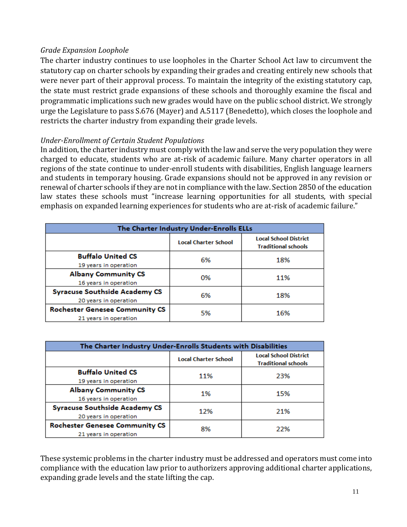#### *Grade Expansion Loophole*

The charter industry continues to use loopholes in the Charter School Act law to circumvent the statutory cap on charter schools by expanding their grades and creating entirely new schools that were never part of their approval process. To maintain the integrity of the existing statutory cap, the state must restrict grade expansions of these schools and thoroughly examine the fiscal and programmatic implications such new grades would have on the public school district. We strongly urge the Legislature to pass S.676 (Mayer) and A.5117 (Benedetto), which closes the loophole and restricts the charter industry from expanding their grade levels.

#### *Under-Enrollment of Certain Student Populations*

In addition, the charter industry must comply with the law and serve the very population they were charged to educate, students who are at-risk of academic failure. Many charter operators in all regions of the state continue to under-enroll students with disabilities, English language learners and students in temporary housing. Grade expansions should not be approved in any revision or renewal of charter schools if they are not in compliance with the law. Section 2850 of the education law states these schools must "increase learning opportunities for all students, with special emphasis on expanded learning experiences for students who are at-risk of academic failure."

| The Charter Industry Under-Enrolls ELLs |                             |                                                            |  |  |  |  |
|-----------------------------------------|-----------------------------|------------------------------------------------------------|--|--|--|--|
|                                         | <b>Local Charter School</b> | <b>Local School District</b><br><b>Traditional schools</b> |  |  |  |  |
| <b>Buffalo United CS</b>                | 6%                          | 18%                                                        |  |  |  |  |
| 19 years in operation                   |                             |                                                            |  |  |  |  |
| <b>Albany Community CS</b>              | 0%                          | 11%                                                        |  |  |  |  |
| 16 years in operation                   |                             |                                                            |  |  |  |  |
| <b>Syracuse Southside Academy CS</b>    | 6%                          | 18%                                                        |  |  |  |  |
| 20 years in operation                   |                             |                                                            |  |  |  |  |
| <b>Rochester Genesee Community CS</b>   | 5%                          | 16%                                                        |  |  |  |  |
| 21 years in operation                   |                             |                                                            |  |  |  |  |

| The Charter Industry Under-Enrolls Students with Disabilities  |                             |                                                            |  |  |  |  |
|----------------------------------------------------------------|-----------------------------|------------------------------------------------------------|--|--|--|--|
|                                                                | <b>Local Charter School</b> | <b>Local School District</b><br><b>Traditional schools</b> |  |  |  |  |
| <b>Buffalo United CS</b><br>19 years in operation              | 11%                         | 23%                                                        |  |  |  |  |
| <b>Albany Community CS</b><br>16 years in operation            | 1%                          | 15%                                                        |  |  |  |  |
| <b>Syracuse Southside Academy CS</b><br>20 years in operation  | 12%                         | 21%                                                        |  |  |  |  |
| <b>Rochester Genesee Community CS</b><br>21 years in operation | 8%                          | 22%                                                        |  |  |  |  |

These systemic problems in the charter industry must be addressed and operators must come into compliance with the education law prior to authorizers approving additional charter applications, expanding grade levels and the state lifting the cap.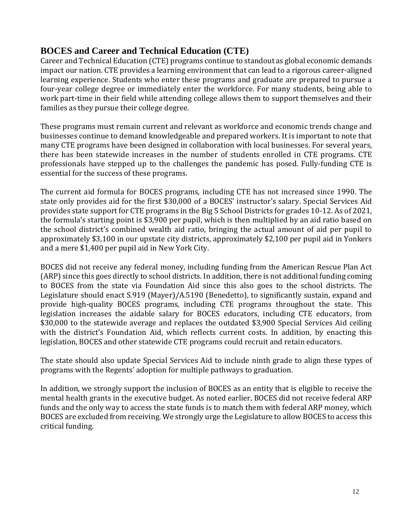## **BOCES and Career and Technical Education (CTE)**

Career and Technical Education (CTE) programs continue to standout as global economic demands impact our nation. CTE provides a learning environment that can lead to a rigorous career-aligned learning experience. Students who enter these programs and graduate are prepared to pursue a four-year college degree or immediately enter the workforce. For many students, being able to work part-time in their field while attending college allows them to support themselves and their families as they pursue their college degree.

These programs must remain current and relevant as workforce and economic trends change and businesses continue to demand knowledgeable and prepared workers. It is important to note that many CTE programs have been designed in collaboration with local businesses. For several years, there has been statewide increases in the number of students enrolled in CTE programs. CTE professionals have stepped up to the challenges the pandemic has posed. Fully-funding CTE is essential for the success of these programs.

The current aid formula for BOCES programs, including CTE has not increased since 1990. The state only provides aid for the first \$30,000 of a BOCES' instructor's salary. Special Services Aid provides state support for CTE programs in the Big 5 School Districts for grades 10-12. As of 2021, the formula's starting point is \$3,900 per pupil, which is then multiplied by an aid ratio based on the school district's combined wealth aid ratio, bringing the actual amount of aid per pupil to approximately \$3,100 in our upstate city districts, approximately \$2,100 per pupil aid in Yonkers and a mere \$1,400 per pupil aid in New York City.

BOCES did not receive any federal money, including funding from the American Rescue Plan Act (ARP) since this goes directly to school districts. In addition, there is not additional funding coming to BOCES from the state via Foundation Aid since this also goes to the school districts. The Legislature should enact S.919 (Mayer)/A.5190 (Benedetto), to significantly sustain, expand and provide high-quality BOCES programs, including CTE programs throughout the state. This legislation increases the aidable salary for BOCES educators, including CTE educators, from \$30,000 to the statewide average and replaces the outdated \$3,900 Special Services Aid ceiling with the district's Foundation Aid, which reflects current costs. In addition, by enacting this legislation, BOCES and other statewide CTE programs could recruit and retain educators.

The state should also update Special Services Aid to include ninth grade to align these types of programs with the Regents' adoption for multiple pathways to graduation.

In addition, we strongly support the inclusion of BOCES as an entity that is eligible to receive the mental health grants in the executive budget. As noted earlier, BOCES did not receive federal ARP funds and the only way to access the state funds is to match them with federal ARP money, which BOCES are excluded from receiving. We strongly urge the Legislature to allow BOCES to access this critical funding.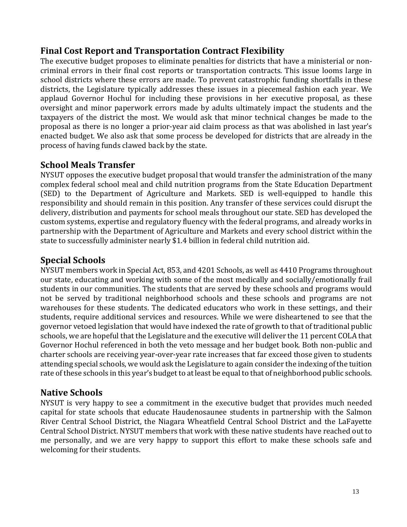## **Final Cost Report and Transportation Contract Flexibility**

The executive budget proposes to eliminate penalties for districts that have a ministerial or noncriminal errors in their final cost reports or transportation contracts. This issue looms large in school districts where these errors are made. To prevent catastrophic funding shortfalls in these districts, the Legislature typically addresses these issues in a piecemeal fashion each year. We applaud Governor Hochul for including these provisions in her executive proposal, as these oversight and minor paperwork errors made by adults ultimately impact the students and the taxpayers of the district the most. We would ask that minor technical changes be made to the proposal as there is no longer a prior-year aid claim process as that was abolished in last year's enacted budget. We also ask that some process be developed for districts that are already in the process of having funds clawed back by the state.

## **School Meals Transfer**

NYSUT opposes the executive budget proposal that would transfer the administration of the many complex federal school meal and child nutrition programs from the State Education Department (SED) to the Department of Agriculture and Markets. SED is well-equipped to handle this responsibility and should remain in this position. Any transfer of these services could disrupt the delivery, distribution and payments for school meals throughout our state. SED has developed the custom systems, expertise and regulatory fluency with the federal programs, and already works in partnership with the Department of Agriculture and Markets and every school district within the state to successfully administer nearly \$1.4 billion in federal child nutrition aid.

# **Special Schools**

NYSUT members work in Special Act, 853, and 4201 Schools, as well as 4410 Programs throughout our state, educating and working with some of the most medically and socially/emotionally frail students in our communities. The students that are served by these schools and programs would not be served by traditional neighborhood schools and these schools and programs are not warehouses for these students. The dedicated educators who work in these settings, and their students, require additional services and resources. While we were disheartened to see that the governor vetoed legislation that would have indexed the rate of growth to that of traditional public schools, we are hopeful that the Legislature and the executive will deliver the 11 percent COLA that Governor Hochul referenced in both the veto message and her budget book. Both non-public and charter schools are receiving year-over-year rate increases that far exceed those given to students attending special schools, we would ask the Legislature to again consider the indexing of the tuition rate of these schools in this year's budget to at least be equal to that of neighborhood public schools.

## **Native Schools**

NYSUT is very happy to see a commitment in the executive budget that provides much needed capital for state schools that educate Haudenosaunee students in partnership with the Salmon River Central School District, the Niagara Wheatfield Central School District and the LaFayette Central School District. NYSUT members that work with these native students have reached out to me personally, and we are very happy to support this effort to make these schools safe and welcoming for their students.